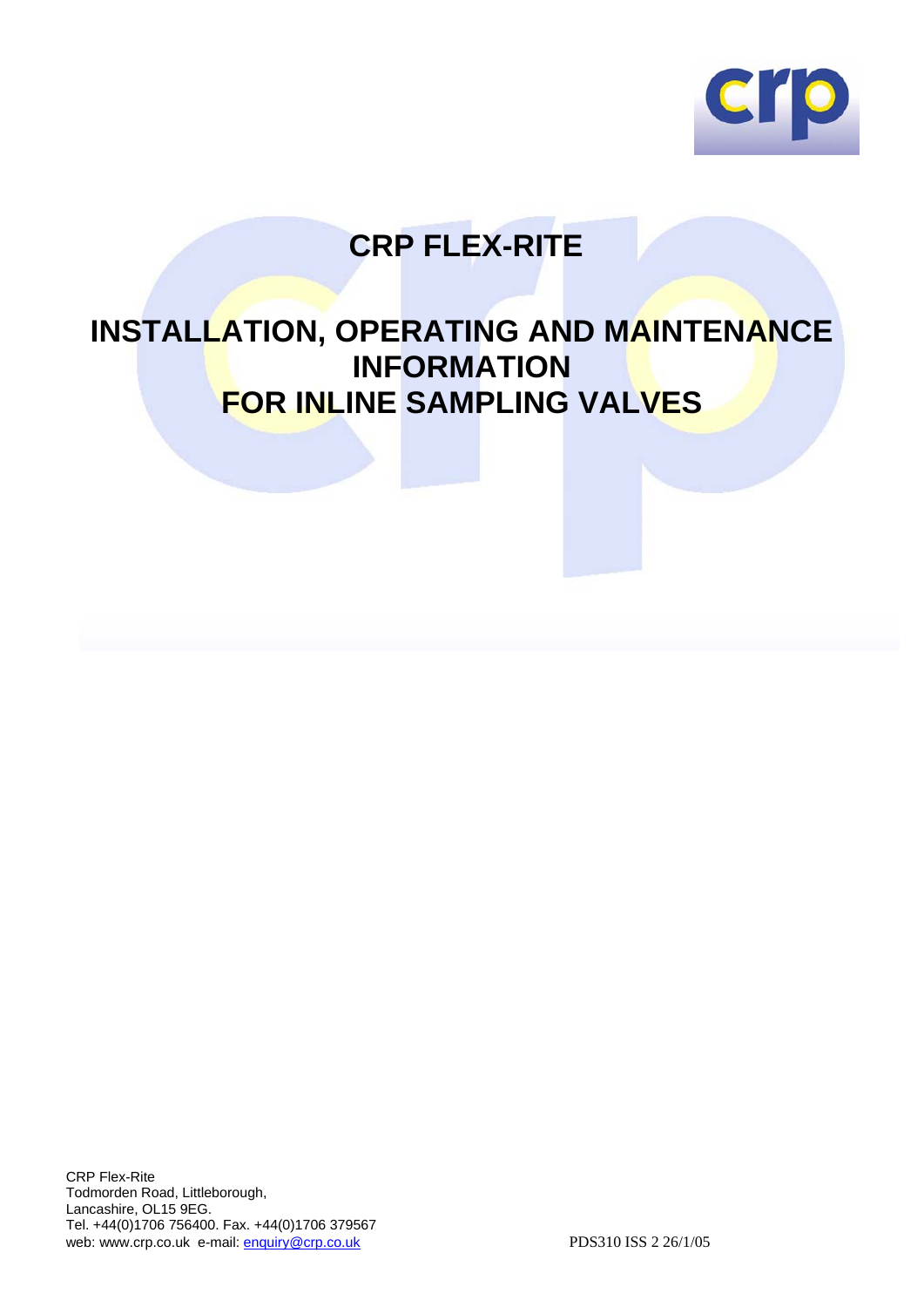

# **CRP FLEX-RITE**

## **INSTALLATION, OPERATING AND MAINTENANCE INFORMATION FOR INLINE SAMPLING VALVES**

CRP Flex-Rite Todmorden Road, Littleborough, Lancashire, OL15 9EG. Tel. +44(0)1706 756400. Fax. +44(0)1706 379567 web: www.crp.co.uk e-mail: enquiry@crp.co.uk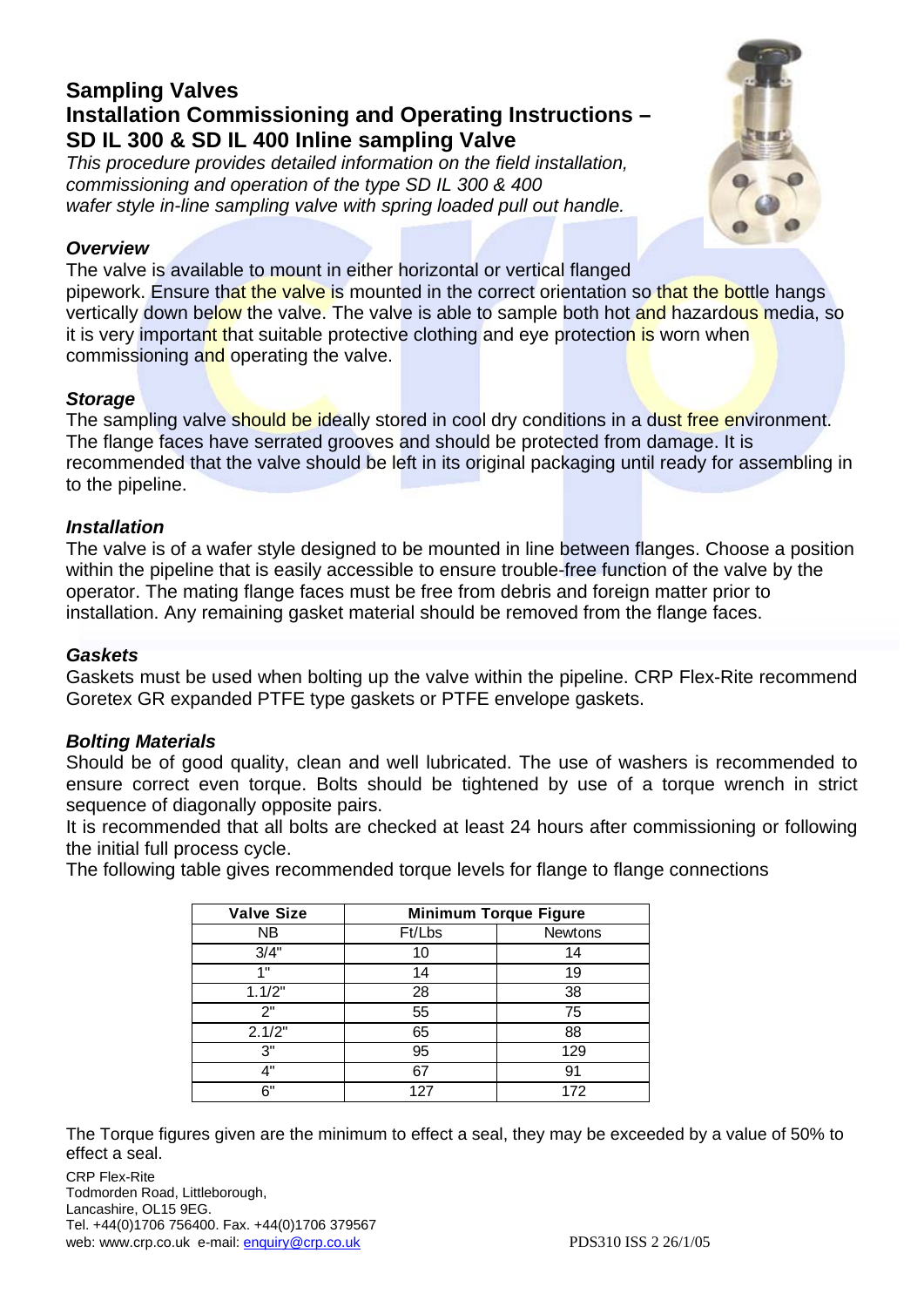## **Sampling Valves Installation Commissioning and Operating Instructions – SD IL 300 & SD IL 400 Inline sampling Valve**

*This procedure provides detailed information on the field installation, commissioning and operation of the type SD IL 300 & 400 wafer style in-line sampling valve with spring loaded pull out handle.* 



#### *Overview*

The valve is available to mount in either horizontal or vertical flanged pipework. Ensure that the valve is mounted in the correct orientation so that the bottle hangs vertically down below the valve. The valve is able to sample both hot and hazardous media, so it is very important that suitable protective clothing and eye protection is worn when commissioning and operating the valve.

## *Storage*

The sampling valve should be ideally stored in cool dry conditions in a dust free environment. The flange faces have serrated grooves and should be protected from damage. It is recommended that the valve should be left in its original packaging until ready for assembling in to the pipeline.

## *Installation*

The valve is of a wafer style designed to be mounted in line between flanges. Choose a position within the pipeline that is easily accessible to ensure trouble-free function of the valve by the operator. The mating flange faces must be free from debris and foreign matter prior to installation. Any remaining gasket material should be removed from the flange faces.

#### *Gaskets*

Gaskets must be used when bolting up the valve within the pipeline. CRP Flex-Rite recommend Goretex GR expanded PTFE type gaskets or PTFE envelope gaskets.

## *Bolting Materials*

Should be of good quality, clean and well lubricated. The use of washers is recommended to ensure correct even torque. Bolts should be tightened by use of a torque wrench in strict sequence of diagonally opposite pairs.

It is recommended that all bolts are checked at least 24 hours after commissioning or following the initial full process cycle.

The following table gives recommended torque levels for flange to flange connections

| <b>Valve Size</b> | <b>Minimum Torque Figure</b> |         |
|-------------------|------------------------------|---------|
| NB                | Ft/Lbs                       | Newtons |
| 3/4"              | 10                           | 14      |
| 4.8               | 14                           | 19      |
| 1.1/2"            | 28                           | 38      |
| 2"                | 55                           | 75      |
| 2.1/2"            | 65                           | 88      |
| 3"                | 95                           | 129     |
| 4"                | 67                           | 91      |
| 6"                | 127                          | 172     |

The Torque figures given are the minimum to effect a seal, they may be exceeded by a value of 50% to effect a seal.

CRP Flex-Rite Todmorden Road, Littleborough, Lancashire, OL15 9EG. Tel. +44(0)1706 756400. Fax. +44(0)1706 379567 web: www.crp.co.uk e-mail: enquiry@crp.co.uk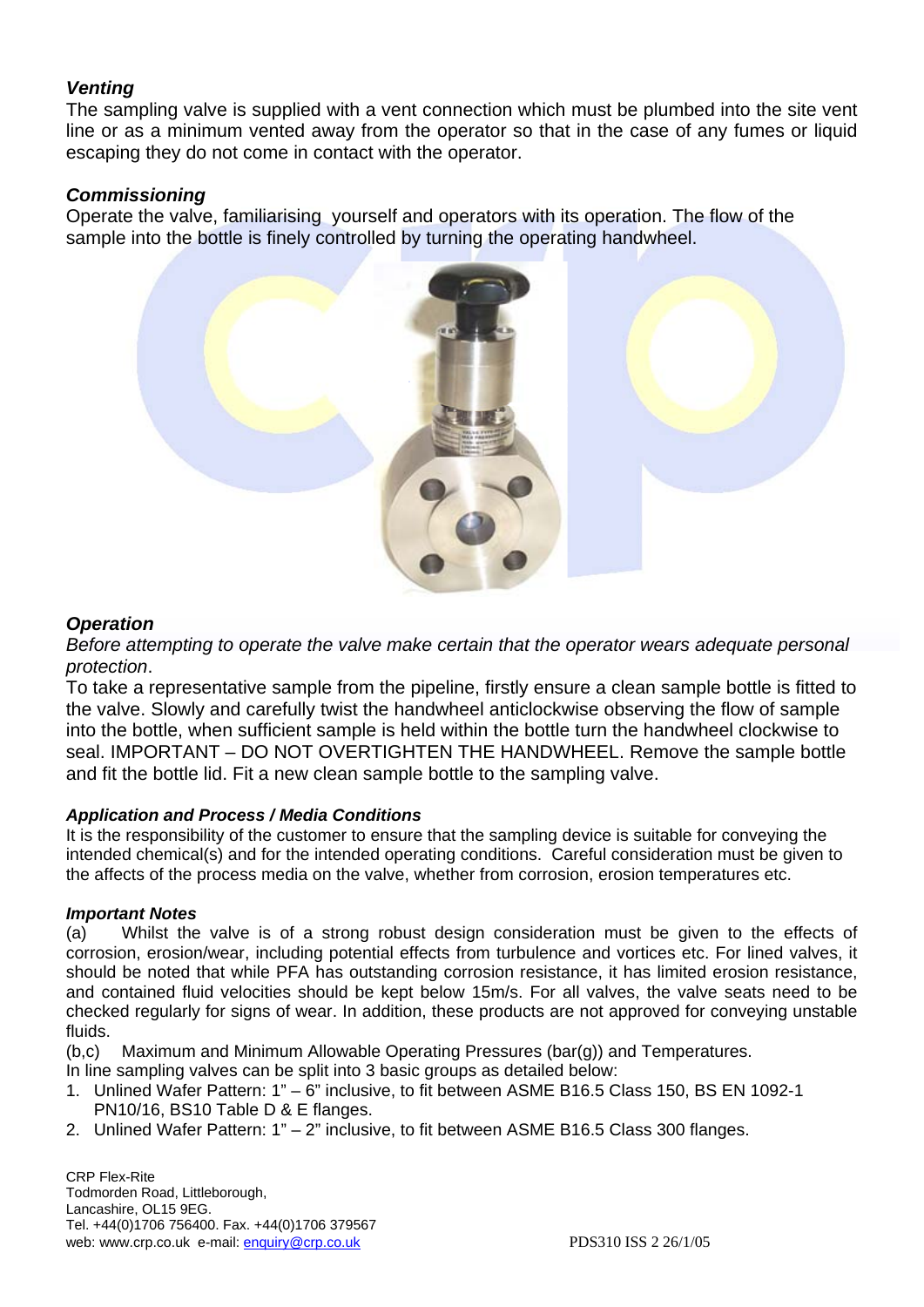#### *Venting*

The sampling valve is supplied with a vent connection which must be plumbed into the site vent line or as a minimum vented away from the operator so that in the case of any fumes or liquid escaping they do not come in contact with the operator.

#### *Commissioning*

Operate the valve, familiarising yourself and operators with its operation. The flow of the sample into the bottle is finely controlled by turning the operating handwheel.



#### *Operation*

*Before attempting to operate the valve make certain that the operator wears adequate personal protection*.

To take a representative sample from the pipeline, firstly ensure a clean sample bottle is fitted to the valve. Slowly and carefully twist the handwheel anticlockwise observing the flow of sample into the bottle, when sufficient sample is held within the bottle turn the handwheel clockwise to seal. IMPORTANT – DO NOT OVERTIGHTEN THE HANDWHEEL. Remove the sample bottle and fit the bottle lid. Fit a new clean sample bottle to the sampling valve.

#### *Application and Process / Media Conditions*

It is the responsibility of the customer to ensure that the sampling device is suitable for conveying the intended chemical(s) and for the intended operating conditions. Careful consideration must be given to the affects of the process media on the valve, whether from corrosion, erosion temperatures etc.

#### *Important Notes*

(a) Whilst the valve is of a strong robust design consideration must be given to the effects of corrosion, erosion/wear, including potential effects from turbulence and vortices etc. For lined valves, it should be noted that while PFA has outstanding corrosion resistance, it has limited erosion resistance, and contained fluid velocities should be kept below 15m/s. For all valves, the valve seats need to be checked regularly for signs of wear. In addition, these products are not approved for conveying unstable fluids.

(b,c) Maximum and Minimum Allowable Operating Pressures (bar(g)) and Temperatures.

In line sampling valves can be split into 3 basic groups as detailed below:

- 1. Unlined Wafer Pattern: 1" 6" inclusive, to fit between ASME B16.5 Class 150, BS EN 1092-1 PN10/16, BS10 Table D & E flanges.
- 2. Unlined Wafer Pattern: 1" 2" inclusive, to fit between ASME B16.5 Class 300 flanges.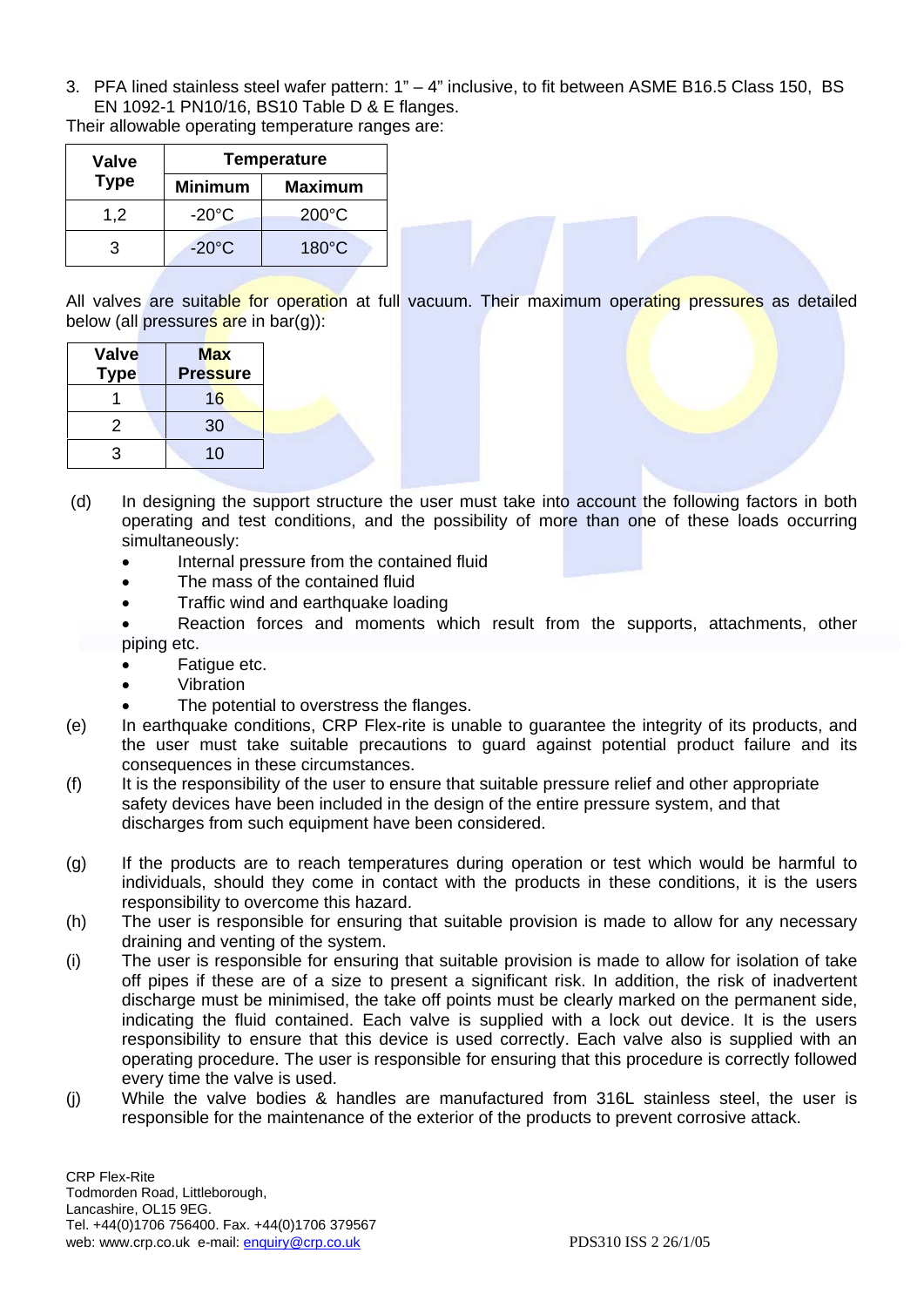3. PFA lined stainless steel wafer pattern: 1" – 4" inclusive, to fit between ASME B16.5 Class 150, BS EN 1092-1 PN10/16, BS10 Table D & E flanges.

Their allowable operating temperature ranges are:

| <b>Valve</b> | <b>Temperature</b> |                 |  |
|--------------|--------------------|-----------------|--|
| <b>Type</b>  | <b>Minimum</b>     | <b>Maximum</b>  |  |
| 1,2          | $-20^{\circ}$ C    | $200^{\circ}$ C |  |
| З            | $-20^{\circ}$ C    | $180^{\circ}$ C |  |

All valves are suitable for operation at full vacuum. Their maximum operating pressures as detailed below (all pressures are in bar(g)):

| Valve<br><b>Type</b> | <b>Max</b><br><b>Pressure</b> |  |
|----------------------|-------------------------------|--|
|                      | 16                            |  |
| 2                    | 30                            |  |
| 3                    | 10                            |  |

- (d) In designing the support structure the user must take into account the following factors in both operating and test conditions, and the possibility of more than one of these loads occurring simultaneously:
	- Internal pressure from the contained fluid
	- The mass of the contained fluid
	- Traffic wind and earthquake loading
	- Reaction forces and moments which result from the supports, attachments, other piping etc.
	- Fatigue etc.
	- Vibration
	- The potential to overstress the flanges.
- (e) In earthquake conditions, CRP Flex-rite is unable to guarantee the integrity of its products, and the user must take suitable precautions to guard against potential product failure and its consequences in these circumstances.
- (f) It is the responsibility of the user to ensure that suitable pressure relief and other appropriate safety devices have been included in the design of the entire pressure system, and that discharges from such equipment have been considered.
- (g) If the products are to reach temperatures during operation or test which would be harmful to individuals, should they come in contact with the products in these conditions, it is the users responsibility to overcome this hazard.
- (h) The user is responsible for ensuring that suitable provision is made to allow for any necessary draining and venting of the system.
- (i) The user is responsible for ensuring that suitable provision is made to allow for isolation of take off pipes if these are of a size to present a significant risk. In addition, the risk of inadvertent discharge must be minimised, the take off points must be clearly marked on the permanent side, indicating the fluid contained. Each valve is supplied with a lock out device. It is the users responsibility to ensure that this device is used correctly. Each valve also is supplied with an operating procedure. The user is responsible for ensuring that this procedure is correctly followed every time the valve is used.
- (j) While the valve bodies & handles are manufactured from 316L stainless steel, the user is responsible for the maintenance of the exterior of the products to prevent corrosive attack.